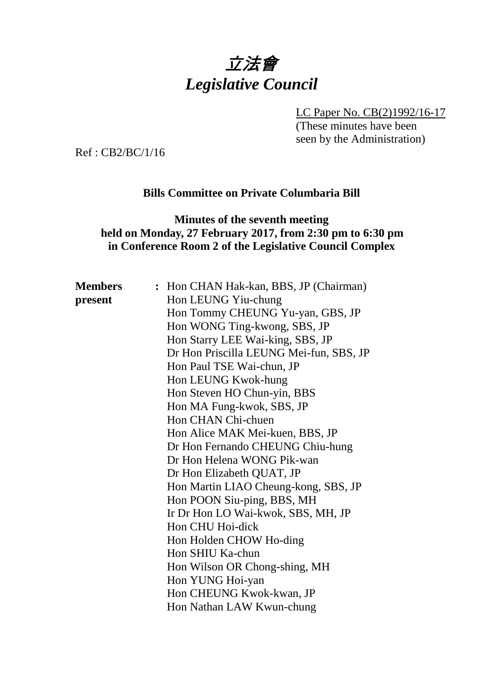# 立法會 *Legislative Council*

LC Paper No. CB(2)1992/16-17

(These minutes have been seen by the Administration)

Ref : CB2/BC/1/16

### **Bills Committee on Private Columbaria Bill**

#### **Minutes of the seventh meeting held on Monday, 27 February 2017, from 2:30 pm to 6:30 pm in Conference Room 2 of the Legislative Council Complex**

| <b>Members</b> | : Hon CHAN Hak-kan, BBS, JP (Chairman)  |
|----------------|-----------------------------------------|
| present        | Hon LEUNG Yiu-chung                     |
|                | Hon Tommy CHEUNG Yu-yan, GBS, JP        |
|                | Hon WONG Ting-kwong, SBS, JP            |
|                | Hon Starry LEE Wai-king, SBS, JP        |
|                | Dr Hon Priscilla LEUNG Mei-fun, SBS, JP |
|                | Hon Paul TSE Wai-chun, JP               |
|                | Hon LEUNG Kwok-hung                     |
|                | Hon Steven HO Chun-yin, BBS             |
|                | Hon MA Fung-kwok, SBS, JP               |
|                | Hon CHAN Chi-chuen                      |
|                | Hon Alice MAK Mei-kuen, BBS, JP         |
|                | Dr Hon Fernando CHEUNG Chiu-hung        |
|                | Dr Hon Helena WONG Pik-wan              |
|                | Dr Hon Elizabeth QUAT, JP               |
|                | Hon Martin LIAO Cheung-kong, SBS, JP    |
|                | Hon POON Siu-ping, BBS, MH              |
|                | Ir Dr Hon LO Wai-kwok, SBS, MH, JP      |
|                | Hon CHU Hoi-dick                        |
|                | Hon Holden CHOW Ho-ding                 |
|                | Hon SHIU Ka-chun                        |
|                | Hon Wilson OR Chong-shing, MH           |
|                | Hon YUNG Hoi-yan                        |
|                | Hon CHEUNG Kwok-kwan, JP                |
|                | Hon Nathan LAW Kwun-chung               |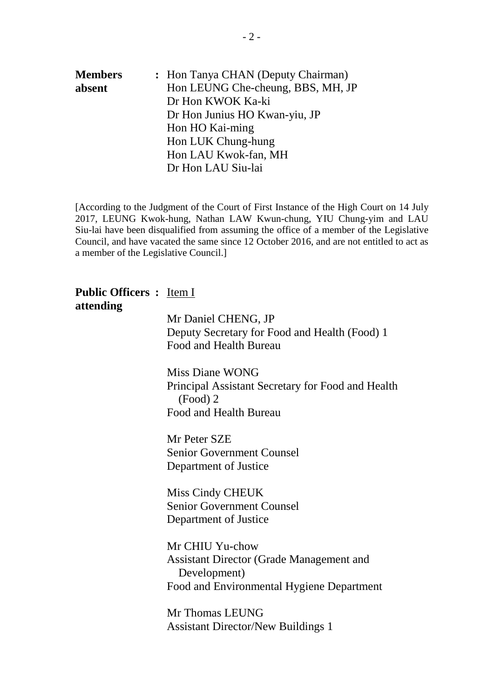| : Hon Tanya CHAN (Deputy Chairman) |
|------------------------------------|
| Hon LEUNG Che-cheung, BBS, MH, JP  |
|                                    |
| Dr Hon Junius HO Kwan-yiu, JP      |
|                                    |
|                                    |
|                                    |
|                                    |
|                                    |

[According to the Judgment of the Court of First Instance of the High Court on 14 July 2017, LEUNG Kwok-hung, Nathan LAW Kwun-chung, YIU Chung-yim and LAU Siu-lai have been disqualified from assuming the office of a member of the Legislative Council, and have vacated the same since 12 October 2016, and are not entitled to act as a member of the Legislative Council.]

#### **Public Officers :** Item I **attending**

Mr Daniel CHENG, JP Deputy Secretary for Food and Health (Food) 1 Food and Health Bureau

Miss Diane WONG Principal Assistant Secretary for Food and Health (Food) 2 Food and Health Bureau

Mr Peter SZE Senior Government Counsel Department of Justice

Miss Cindy CHEUK Senior Government Counsel Department of Justice

Mr CHIU Yu-chow Assistant Director (Grade Management and Development) Food and Environmental Hygiene Department

Mr Thomas LEUNG Assistant Director/New Buildings 1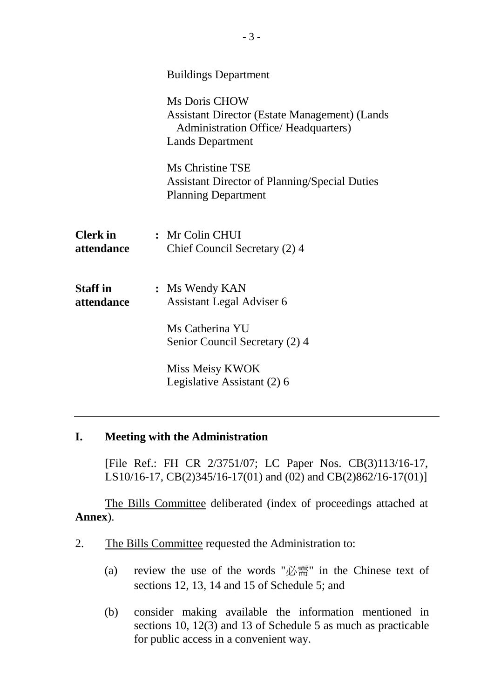| <b>Buildings Department</b>                                                                                                                               |
|-----------------------------------------------------------------------------------------------------------------------------------------------------------|
| Ms Doris CHOW<br><b>Assistant Director (Estate Management) (Lands</b><br><b>Administration Office/ Headquarters)</b><br><b>Lands Department</b>           |
| Ms Christine TSE<br><b>Assistant Director of Planning/Special Duties</b><br><b>Planning Department</b>                                                    |
| : Mr Colin CHUI<br>Chief Council Secretary (2) 4                                                                                                          |
| : Ms Wendy KAN<br><b>Assistant Legal Adviser 6</b><br>Ms Catherina YU<br>Senior Council Secretary (2) 4<br>Miss Meisy KWOK<br>Legislative Assistant (2) 6 |
|                                                                                                                                                           |

### **I. Meeting with the Administration**

[File Ref.: FH CR 2/3751/07; LC Paper Nos. CB(3)113/16-17, LS10/16-17, CB(2)345/16-17(01) and (02) and CB(2)862/16-17(01)]

The Bills Committee deliberated (index of proceedings attached at **Annex**).

- 2. The Bills Committee requested the Administration to:
	- (a) review the use of the words "必需" in the Chinese text of sections 12, 13, 14 and 15 of Schedule 5; and
	- (b) consider making available the information mentioned in sections 10, 12(3) and 13 of Schedule 5 as much as practicable for public access in a convenient way.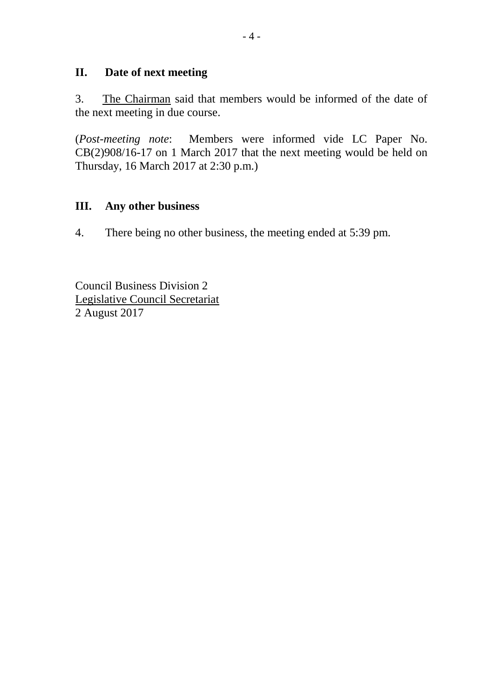#### **II. Date of next meeting**

3. The Chairman said that members would be informed of the date of the next meeting in due course.

(*Post-meeting note*: Members were informed vide LC Paper No. CB(2)908/16-17 on 1 March 2017 that the next meeting would be held on Thursday, 16 March 2017 at 2:30 p.m.)

#### **III. Any other business**

4. There being no other business, the meeting ended at 5:39 pm.

Council Business Division 2 Legislative Council Secretariat 2 August 2017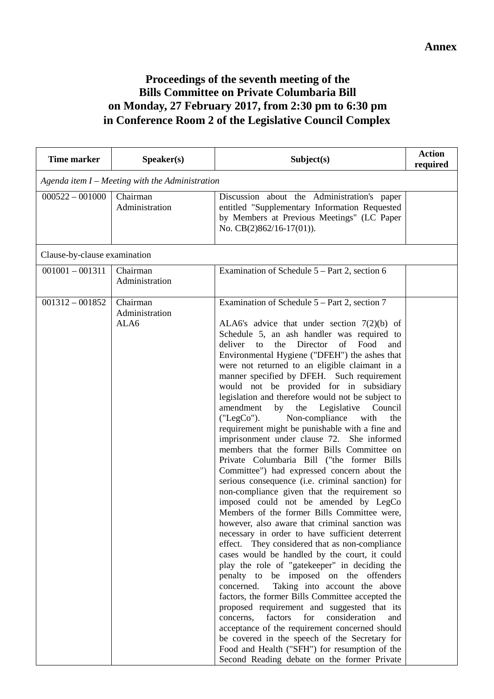## **Proceedings of the seventh meeting of the Bills Committee on Private Columbaria Bill on Monday, 27 February 2017, from 2:30 pm to 6:30 pm in Conference Room 2 of the Legislative Council Complex**

| <b>Time marker</b>           | Speaker(s)                                        | Subject(s)                                                                                                                                                                                                                                                                                                                                                                                                                                                                                                                                                                                                                                                                                                                                                                                                                                                                                                                                                                                                                                                                                                                                                                                                                                                                                                                                                                                                                                                                                                                                                                                                                                                                                                    | <b>Action</b><br>required |
|------------------------------|---------------------------------------------------|---------------------------------------------------------------------------------------------------------------------------------------------------------------------------------------------------------------------------------------------------------------------------------------------------------------------------------------------------------------------------------------------------------------------------------------------------------------------------------------------------------------------------------------------------------------------------------------------------------------------------------------------------------------------------------------------------------------------------------------------------------------------------------------------------------------------------------------------------------------------------------------------------------------------------------------------------------------------------------------------------------------------------------------------------------------------------------------------------------------------------------------------------------------------------------------------------------------------------------------------------------------------------------------------------------------------------------------------------------------------------------------------------------------------------------------------------------------------------------------------------------------------------------------------------------------------------------------------------------------------------------------------------------------------------------------------------------------|---------------------------|
|                              | Agenda item $I$ – Meeting with the Administration |                                                                                                                                                                                                                                                                                                                                                                                                                                                                                                                                                                                                                                                                                                                                                                                                                                                                                                                                                                                                                                                                                                                                                                                                                                                                                                                                                                                                                                                                                                                                                                                                                                                                                                               |                           |
| $000522 - 001000$            | Chairman<br>Administration                        | Discussion about the Administration's paper<br>entitled "Supplementary Information Requested<br>by Members at Previous Meetings" (LC Paper<br>No. $CB(2)862/16-17(01)$ .                                                                                                                                                                                                                                                                                                                                                                                                                                                                                                                                                                                                                                                                                                                                                                                                                                                                                                                                                                                                                                                                                                                                                                                                                                                                                                                                                                                                                                                                                                                                      |                           |
| Clause-by-clause examination |                                                   |                                                                                                                                                                                                                                                                                                                                                                                                                                                                                                                                                                                                                                                                                                                                                                                                                                                                                                                                                                                                                                                                                                                                                                                                                                                                                                                                                                                                                                                                                                                                                                                                                                                                                                               |                           |
| $001001 - 001311$            | Chairman<br>Administration                        | Examination of Schedule $5 - Part 2$ , section 6                                                                                                                                                                                                                                                                                                                                                                                                                                                                                                                                                                                                                                                                                                                                                                                                                                                                                                                                                                                                                                                                                                                                                                                                                                                                                                                                                                                                                                                                                                                                                                                                                                                              |                           |
| $001312 - 001852$            | Chairman<br>Administration<br>ALA6                | Examination of Schedule $5 - Part 2$ , section 7<br>ALA6's advice that under section $7(2)(b)$ of<br>Schedule 5, an ash handler was required to<br>of Food<br>to<br>the Director<br>deliver<br>and<br>Environmental Hygiene ("DFEH") the ashes that<br>were not returned to an eligible claimant in a<br>manner specified by DFEH. Such requirement<br>would not be provided for in subsidiary<br>legislation and therefore would not be subject to<br>the<br>Legislative<br>amendment<br>Council<br>by<br>Non-compliance<br>("LegCo").<br>with<br>the<br>requirement might be punishable with a fine and<br>imprisonment under clause 72. She informed<br>members that the former Bills Committee on<br>Private Columbaria Bill ("the former Bills<br>Committee") had expressed concern about the<br>serious consequence (i.e. criminal sanction) for<br>non-compliance given that the requirement so<br>imposed could not be amended by LegCo<br>Members of the former Bills Committee were,<br>however, also aware that criminal sanction was<br>necessary in order to have sufficient deterrent<br>effect. They considered that as non-compliance<br>cases would be handled by the court, it could<br>play the role of "gatekeeper" in deciding the<br>penalty to be imposed on the offenders<br>Taking into account the above<br>concerned.<br>factors, the former Bills Committee accepted the<br>proposed requirement and suggested that its<br>for<br>concerns,<br>factors<br>consideration<br>and<br>acceptance of the requirement concerned should<br>be covered in the speech of the Secretary for<br>Food and Health ("SFH") for resumption of the<br>Second Reading debate on the former Private |                           |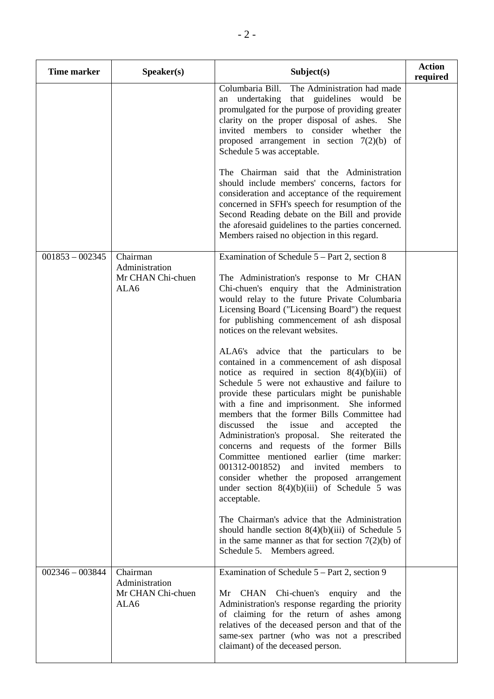| <b>Time marker</b> | Speaker(s)                                              | Subject(s)                                                                                                                                                                                                                                                                                                                                                                                                                                                                                                                                                                                                                                                                                                                                                                                                                                                                                                                                                                                                                                                                                                                                                                                                                                  | <b>Action</b><br>required |
|--------------------|---------------------------------------------------------|---------------------------------------------------------------------------------------------------------------------------------------------------------------------------------------------------------------------------------------------------------------------------------------------------------------------------------------------------------------------------------------------------------------------------------------------------------------------------------------------------------------------------------------------------------------------------------------------------------------------------------------------------------------------------------------------------------------------------------------------------------------------------------------------------------------------------------------------------------------------------------------------------------------------------------------------------------------------------------------------------------------------------------------------------------------------------------------------------------------------------------------------------------------------------------------------------------------------------------------------|---------------------------|
|                    |                                                         | Columbaria Bill. The Administration had made<br>undertaking that guidelines would<br>be<br>an<br>promulgated for the purpose of providing greater<br>clarity on the proper disposal of ashes.<br><b>She</b><br>invited members to consider whether<br>the<br>proposed arrangement in section $7(2)(b)$ of<br>Schedule 5 was acceptable.<br>The Chairman said that the Administration<br>should include members' concerns, factors for<br>consideration and acceptance of the requirement<br>concerned in SFH's speech for resumption of the<br>Second Reading debate on the Bill and provide<br>the aforesaid guidelines to the parties concerned.<br>Members raised no objection in this regard.                                                                                                                                                                                                                                                                                                                                                                                                                                                                                                                                           |                           |
| $001853 - 002345$  | Chairman<br>Administration<br>Mr CHAN Chi-chuen<br>ALA6 | Examination of Schedule $5 - Part 2$ , section 8<br>The Administration's response to Mr CHAN<br>Chi-chuen's enquiry that the Administration<br>would relay to the future Private Columbaria<br>Licensing Board ("Licensing Board") the request<br>for publishing commencement of ash disposal<br>notices on the relevant websites.<br>ALA6's advice that the particulars to be<br>contained in a commencement of ash disposal<br>notice as required in section $8(4)(b)(iii)$ of<br>Schedule 5 were not exhaustive and failure to<br>provide these particulars might be punishable<br>with a fine and imprisonment. She informed<br>members that the former Bills Committee had<br>discussed<br>the<br>issue<br>and<br>accepted<br>the<br>Administration's proposal. She reiterated the<br>concerns and requests of the former Bills<br>Committee mentioned earlier (time marker:<br>001312-001852) and invited<br>members<br>to<br>consider whether the proposed arrangement<br>under section $8(4)(b)(iii)$ of Schedule 5 was<br>acceptable.<br>The Chairman's advice that the Administration<br>should handle section $8(4)(b)(iii)$ of Schedule 5<br>in the same manner as that for section $7(2)(b)$ of<br>Schedule 5. Members agreed. |                           |
| $002346 - 003844$  | Chairman<br>Administration<br>Mr CHAN Chi-chuen<br>ALA6 | Examination of Schedule $5 - Part 2$ , section 9<br>Chi-chuen's enquiry and the<br><b>CHAN</b><br>Mr<br>Administration's response regarding the priority<br>of claiming for the return of ashes among<br>relatives of the deceased person and that of the<br>same-sex partner (who was not a prescribed<br>claimant) of the deceased person.                                                                                                                                                                                                                                                                                                                                                                                                                                                                                                                                                                                                                                                                                                                                                                                                                                                                                                |                           |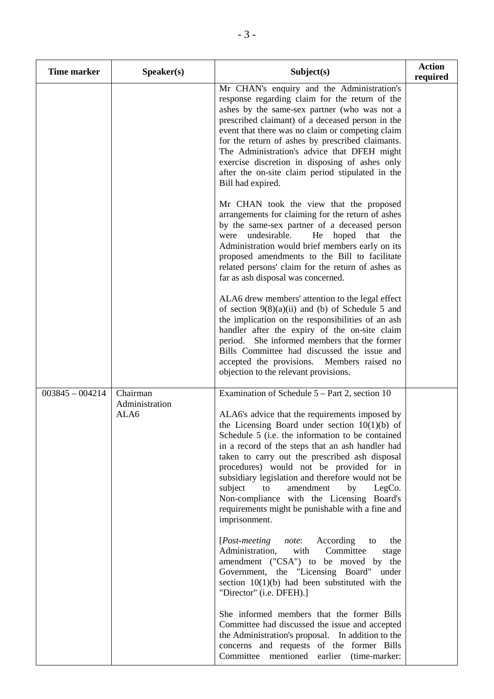| <b>Time marker</b> | Speaker(s)                         | Subject(s)                                                                                                                                                                                                                                                                                                                                                                                                                                                                                                                                                                        | <b>Action</b><br>required |
|--------------------|------------------------------------|-----------------------------------------------------------------------------------------------------------------------------------------------------------------------------------------------------------------------------------------------------------------------------------------------------------------------------------------------------------------------------------------------------------------------------------------------------------------------------------------------------------------------------------------------------------------------------------|---------------------------|
|                    |                                    | Mr CHAN's enquiry and the Administration's<br>response regarding claim for the return of the<br>ashes by the same-sex partner (who was not a<br>prescribed claimant) of a deceased person in the<br>event that there was no claim or competing claim<br>for the return of ashes by prescribed claimants.<br>The Administration's advice that DFEH might<br>exercise discretion in disposing of ashes only<br>after the on-site claim period stipulated in the<br>Bill had expired.                                                                                                |                           |
|                    |                                    | Mr CHAN took the view that the proposed<br>arrangements for claiming for the return of ashes<br>by the same-sex partner of a deceased person<br>were undesirable.<br>He<br>hoped that the<br>Administration would brief members early on its<br>proposed amendments to the Bill to facilitate<br>related persons' claim for the return of ashes as<br>far as ash disposal was concerned.                                                                                                                                                                                          |                           |
|                    |                                    | ALA6 drew members' attention to the legal effect<br>of section $9(8)(a)(ii)$ and (b) of Schedule 5 and<br>the implication on the responsibilities of an ash<br>handler after the expiry of the on-site claim<br>period. She informed members that the former<br>Bills Committee had discussed the issue and<br>accepted the provisions. Members raised no<br>objection to the relevant provisions.                                                                                                                                                                                |                           |
| $003845 - 004214$  | Chairman<br>Administration<br>ALA6 | Examination of Schedule $5 - Part 2$ , section 10<br>ALA6's advice that the requirements imposed by<br>the Licensing Board under section $10(1)(b)$ of<br>Schedule 5 (i.e. the information to be contained<br>in a record of the steps that an ash handler had<br>taken to carry out the prescribed ash disposal<br>procedures) would not be provided for in<br>subsidiary legislation and therefore would not be<br>subject<br>to<br>by<br>amendment<br>LegCo.<br>Non-compliance with the Licensing Board's<br>requirements might be punishable with a fine and<br>imprisonment. |                           |
|                    |                                    | [Post-meeting<br>According<br>note:<br>the<br>to<br>Administration,<br>with<br>Committee<br>stage<br>amendment ("CSA") to be moved by the<br>Government, the "Licensing Board" under<br>section $10(1)(b)$ had been substituted with the<br>"Director" (i.e. DFEH).]                                                                                                                                                                                                                                                                                                              |                           |
|                    |                                    | She informed members that the former Bills<br>Committee had discussed the issue and accepted<br>the Administration's proposal. In addition to the<br>concerns and requests of the former Bills<br>Committee mentioned earlier (time-marker:                                                                                                                                                                                                                                                                                                                                       |                           |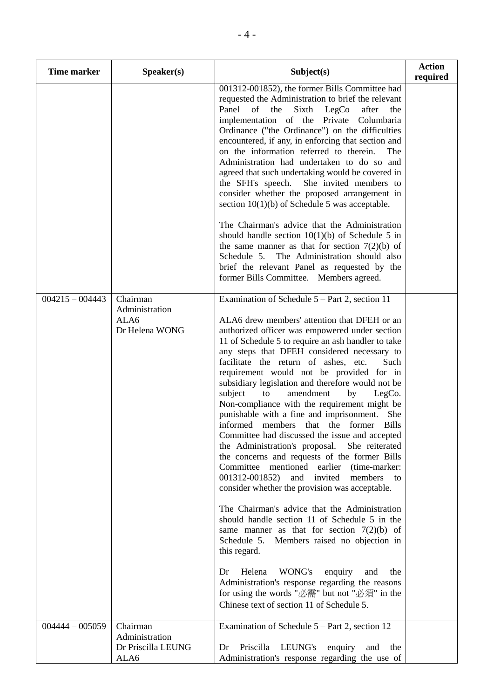| <b>Time marker</b> | Speaker(s)                                               | Subject(s)                                                                                                                                                                                                                                                                                                                                                                                                                                                                                                                                                                                                                                                                                                                                                                                                                                                                                                                                                                                                                                                                                                                                                                                                                                                                                                                                | <b>Action</b><br>required |
|--------------------|----------------------------------------------------------|-------------------------------------------------------------------------------------------------------------------------------------------------------------------------------------------------------------------------------------------------------------------------------------------------------------------------------------------------------------------------------------------------------------------------------------------------------------------------------------------------------------------------------------------------------------------------------------------------------------------------------------------------------------------------------------------------------------------------------------------------------------------------------------------------------------------------------------------------------------------------------------------------------------------------------------------------------------------------------------------------------------------------------------------------------------------------------------------------------------------------------------------------------------------------------------------------------------------------------------------------------------------------------------------------------------------------------------------|---------------------------|
|                    |                                                          | 001312-001852), the former Bills Committee had<br>requested the Administration to brief the relevant<br>Panel<br>of<br>the<br>Sixth<br>LegCo<br>after<br>the<br>implementation of the Private<br>Columbaria<br>Ordinance ("the Ordinance") on the difficulties<br>encountered, if any, in enforcing that section and<br>on the information referred to therein.<br>The<br>Administration had undertaken to do so and<br>agreed that such undertaking would be covered in<br>the SFH's speech. She invited members to<br>consider whether the proposed arrangement in<br>section $10(1)(b)$ of Schedule 5 was acceptable.<br>The Chairman's advice that the Administration<br>should handle section $10(1)(b)$ of Schedule 5 in<br>the same manner as that for section $7(2)(b)$ of<br>Schedule 5. The Administration should also<br>brief the relevant Panel as requested by the<br>former Bills Committee. Members agreed.                                                                                                                                                                                                                                                                                                                                                                                                               |                           |
| $004215 - 004443$  | Chairman<br>Administration<br>ALA6<br>Dr Helena WONG     | Examination of Schedule $5 - Part 2$ , section 11<br>ALA6 drew members' attention that DFEH or an<br>authorized officer was empowered under section<br>11 of Schedule 5 to require an ash handler to take<br>any steps that DFEH considered necessary to<br>facilitate the return of ashes, etc.<br>Such<br>requirement would not be provided for in<br>subsidiary legislation and therefore would not be<br>subject<br>to<br>amendment<br>by<br>LegCo.<br>Non-compliance with the requirement might be<br>punishable with a fine and imprisonment.<br>She<br>informed members that the former<br><b>Bills</b><br>Committee had discussed the issue and accepted<br>the Administration's proposal. She reiterated<br>the concerns and requests of the former Bills<br>Committee mentioned earlier (time-marker:<br>001312-001852)<br>invited<br>and<br>members<br>to<br>consider whether the provision was acceptable.<br>The Chairman's advice that the Administration<br>should handle section 11 of Schedule 5 in the<br>same manner as that for section $7(2)(b)$ of<br>Schedule 5. Members raised no objection in<br>this regard.<br>WONG's<br>Helena<br>enquiry<br>Dr<br>and<br>the<br>Administration's response regarding the reasons<br>for using the words "必需" but not "必須" in the<br>Chinese text of section 11 of Schedule 5. |                           |
| $004444 - 005059$  | Chairman<br>Administration<br>Dr Priscilla LEUNG<br>ALA6 | Examination of Schedule 5 – Part 2, section 12<br>Priscilla LEUNG's<br>enquiry<br>and<br>Dr<br>the<br>Administration's response regarding the use of                                                                                                                                                                                                                                                                                                                                                                                                                                                                                                                                                                                                                                                                                                                                                                                                                                                                                                                                                                                                                                                                                                                                                                                      |                           |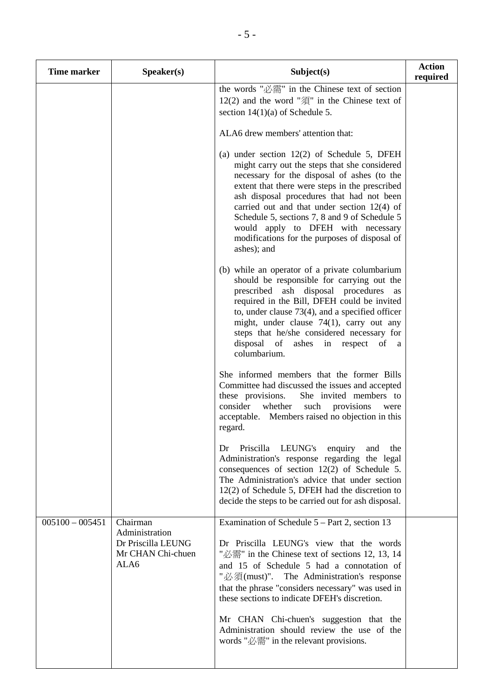| Time marker       | Speaker(s)                                                                    | Subject(s)                                                                                                                                                                                                                                                                                                                                                                                                                                                                                                     | <b>Action</b><br>required |
|-------------------|-------------------------------------------------------------------------------|----------------------------------------------------------------------------------------------------------------------------------------------------------------------------------------------------------------------------------------------------------------------------------------------------------------------------------------------------------------------------------------------------------------------------------------------------------------------------------------------------------------|---------------------------|
|                   |                                                                               | the words "必需" in the Chinese text of section<br>$12(2)$ and the word " $\overline{A}$ " in the Chinese text of<br>section $14(1)(a)$ of Schedule 5.                                                                                                                                                                                                                                                                                                                                                           |                           |
|                   |                                                                               | ALA6 drew members' attention that:                                                                                                                                                                                                                                                                                                                                                                                                                                                                             |                           |
|                   |                                                                               | (a) under section $12(2)$ of Schedule 5, DFEH<br>might carry out the steps that she considered<br>necessary for the disposal of ashes (to the<br>extent that there were steps in the prescribed<br>ash disposal procedures that had not been<br>carried out and that under section $12(4)$ of<br>Schedule 5, sections 7, 8 and 9 of Schedule 5<br>would apply to DFEH with necessary<br>modifications for the purposes of disposal of<br>ashes); and                                                           |                           |
|                   |                                                                               | (b) while an operator of a private columbarium<br>should be responsible for carrying out the<br>prescribed ash disposal procedures<br>as<br>required in the Bill, DFEH could be invited<br>to, under clause $73(4)$ , and a specified officer<br>might, under clause $74(1)$ , carry out any<br>steps that he/she considered necessary for<br>disposal of ashes in respect of a<br>columbarium.                                                                                                                |                           |
|                   |                                                                               | She informed members that the former Bills<br>Committee had discussed the issues and accepted<br>these provisions.<br>She invited members to<br>whether<br>consider<br>such<br>provisions<br>were<br>acceptable. Members raised no objection in this<br>regard.                                                                                                                                                                                                                                                |                           |
|                   |                                                                               | Priscilla<br>LEUNG's<br>enquiry<br>Dr<br>and<br>the<br>Administration's response regarding the legal<br>consequences of section $12(2)$ of Schedule 5.<br>The Administration's advice that under section<br>$12(2)$ of Schedule 5, DFEH had the discretion to<br>decide the steps to be carried out for ash disposal.                                                                                                                                                                                          |                           |
| $005100 - 005451$ | Chairman<br>Administration<br>Dr Priscilla LEUNG<br>Mr CHAN Chi-chuen<br>ALA6 | Examination of Schedule $5 - Part 2$ , section 13<br>Dr Priscilla LEUNG's view that the words<br>" $\mathcal{B}$ $\mathbb{R}$ " in the Chinese text of sections 12, 13, 14<br>and 15 of Schedule 5 had a connotation of<br>"必須(must)". The Administration's response<br>that the phrase "considers necessary" was used in<br>these sections to indicate DFEH's discretion.<br>Mr CHAN Chi-chuen's suggestion that the<br>Administration should review the use of the<br>words "必需" in the relevant provisions. |                           |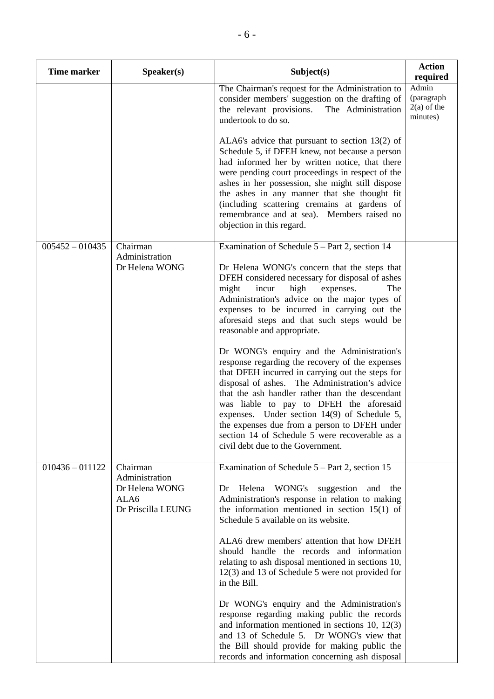| <b>Time marker</b> | Speaker(s)                                                                 | Subject(s)                                                                                                                                                                                                                                                                                                                                                                                                                                                                                                                                                                                                                                                                                                                                                                       | <b>Action</b><br>required                        |
|--------------------|----------------------------------------------------------------------------|----------------------------------------------------------------------------------------------------------------------------------------------------------------------------------------------------------------------------------------------------------------------------------------------------------------------------------------------------------------------------------------------------------------------------------------------------------------------------------------------------------------------------------------------------------------------------------------------------------------------------------------------------------------------------------------------------------------------------------------------------------------------------------|--------------------------------------------------|
|                    |                                                                            | The Chairman's request for the Administration to<br>consider members' suggestion on the drafting of<br>the relevant provisions.<br>The Administration<br>undertook to do so.                                                                                                                                                                                                                                                                                                                                                                                                                                                                                                                                                                                                     | Admin<br>(paragraph<br>$2(a)$ of the<br>minutes) |
|                    |                                                                            | ALA6's advice that pursuant to section $13(2)$ of<br>Schedule 5, if DFEH knew, not because a person<br>had informed her by written notice, that there<br>were pending court proceedings in respect of the<br>ashes in her possession, she might still dispose<br>the ashes in any manner that she thought fit<br>(including scattering cremains at gardens of<br>remembrance and at sea). Members raised no<br>objection in this regard.                                                                                                                                                                                                                                                                                                                                         |                                                  |
| $005452 - 010435$  | Chairman<br>Administration<br>Dr Helena WONG                               | Examination of Schedule 5 – Part 2, section 14<br>Dr Helena WONG's concern that the steps that<br>DFEH considered necessary for disposal of ashes<br>incur<br>high<br>The<br>might<br>expenses.<br>Administration's advice on the major types of<br>expenses to be incurred in carrying out the<br>aforesaid steps and that such steps would be<br>reasonable and appropriate.                                                                                                                                                                                                                                                                                                                                                                                                   |                                                  |
|                    |                                                                            | Dr WONG's enquiry and the Administration's<br>response regarding the recovery of the expenses<br>that DFEH incurred in carrying out the steps for<br>disposal of ashes. The Administration's advice<br>that the ash handler rather than the descendant<br>was liable to pay to DFEH the aforesaid<br>expenses. Under section $14(9)$ of Schedule 5,<br>the expenses due from a person to DFEH under<br>section 14 of Schedule 5 were recoverable as a<br>civil debt due to the Government.                                                                                                                                                                                                                                                                                       |                                                  |
| $010436 - 011122$  | Chairman<br>Administration<br>Dr Helena WONG<br>ALA6<br>Dr Priscilla LEUNG | Examination of Schedule $5 - Part 2$ , section 15<br>Helena WONG's<br>suggestion<br>Dr<br>and<br>the<br>Administration's response in relation to making<br>the information mentioned in section $15(1)$ of<br>Schedule 5 available on its website.<br>ALA6 drew members' attention that how DFEH<br>should handle the records and information<br>relating to ash disposal mentioned in sections 10,<br>$12(3)$ and 13 of Schedule 5 were not provided for<br>in the Bill.<br>Dr WONG's enquiry and the Administration's<br>response regarding making public the records<br>and information mentioned in sections $10$ , $12(3)$<br>and 13 of Schedule 5. Dr WONG's view that<br>the Bill should provide for making public the<br>records and information concerning ash disposal |                                                  |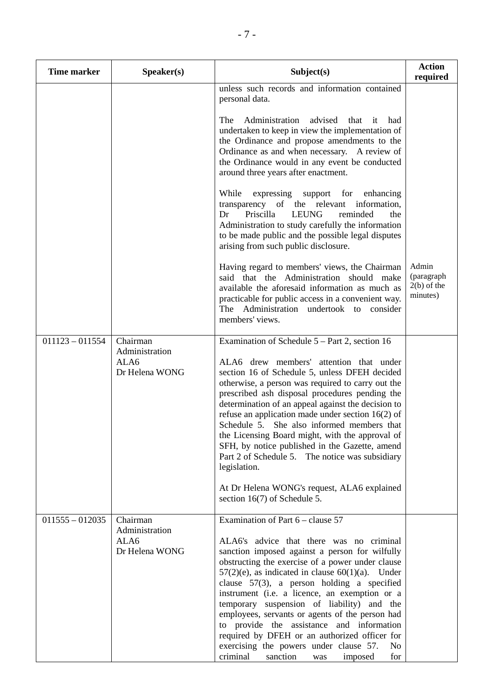| <b>Time marker</b> | Speaker(s)                                           | Subject(s)                                                                                                                                                                                                                                                                                                                                                                                                                                                                                                                                                                                                                                                            | <b>Action</b><br>required                        |
|--------------------|------------------------------------------------------|-----------------------------------------------------------------------------------------------------------------------------------------------------------------------------------------------------------------------------------------------------------------------------------------------------------------------------------------------------------------------------------------------------------------------------------------------------------------------------------------------------------------------------------------------------------------------------------------------------------------------------------------------------------------------|--------------------------------------------------|
|                    |                                                      | unless such records and information contained<br>personal data.                                                                                                                                                                                                                                                                                                                                                                                                                                                                                                                                                                                                       |                                                  |
|                    |                                                      | Administration<br>The<br>advised<br>that<br>had<br>it<br>undertaken to keep in view the implementation of<br>the Ordinance and propose amendments to the<br>Ordinance as and when necessary. A review of<br>the Ordinance would in any event be conducted<br>around three years after enactment.                                                                                                                                                                                                                                                                                                                                                                      |                                                  |
|                    |                                                      | While<br>expressing support for<br>enhancing<br>transparency of the relevant<br>information,<br>Priscilla<br><b>LEUNG</b><br>reminded<br>Dr<br>the<br>Administration to study carefully the information<br>to be made public and the possible legal disputes<br>arising from such public disclosure.                                                                                                                                                                                                                                                                                                                                                                  |                                                  |
|                    |                                                      | Having regard to members' views, the Chairman<br>said that the Administration should make<br>available the aforesaid information as much as<br>practicable for public access in a convenient way.<br>The Administration undertook to<br>consider<br>members' views.                                                                                                                                                                                                                                                                                                                                                                                                   | Admin<br>(paragraph<br>$2(b)$ of the<br>minutes) |
| $011123 - 011554$  | Chairman<br>Administration<br>ALA6<br>Dr Helena WONG | Examination of Schedule 5 – Part 2, section 16<br>ALA6 drew members' attention that under<br>section 16 of Schedule 5, unless DFEH decided<br>otherwise, a person was required to carry out the<br>prescribed ash disposal procedures pending the<br>determination of an appeal against the decision to<br>refuse an application made under section $16(2)$ of<br>Schedule 5. She also informed members that<br>the Licensing Board might, with the approval of<br>SFH, by notice published in the Gazette, amend<br>Part 2 of Schedule 5. The notice was subsidiary<br>legislation.<br>At Dr Helena WONG's request, ALA6 explained<br>section $16(7)$ of Schedule 5. |                                                  |
| $011555 - 012035$  | Chairman<br>Administration<br>ALA6<br>Dr Helena WONG | Examination of Part 6 – clause 57<br>ALA6's advice that there was no criminal<br>sanction imposed against a person for wilfully<br>obstructing the exercise of a power under clause<br>$57(2)(e)$ , as indicated in clause $60(1)(a)$ . Under<br>clause $57(3)$ , a person holding a specified<br>instrument (i.e. a licence, an exemption or a<br>temporary suspension of liability) and the<br>employees, servants or agents of the person had<br>to provide the assistance and information<br>required by DFEH or an authorized officer for<br>exercising the powers under clause 57.<br>N <sub>0</sub><br>criminal<br>sanction<br>imposed<br>for<br>was           |                                                  |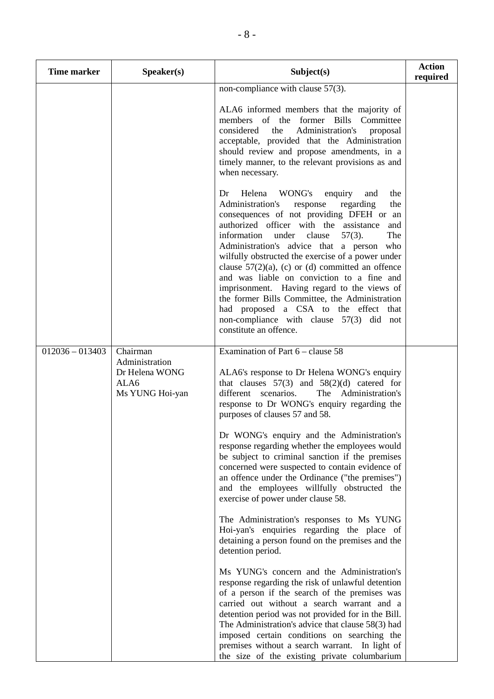| <b>Time marker</b> | Speaker(s)                                                  | Subject(s)                                                                                                                                                                                                                                                                                                                                                                                                                                                                                                                                                                                                                                                                    | <b>Action</b><br>required |
|--------------------|-------------------------------------------------------------|-------------------------------------------------------------------------------------------------------------------------------------------------------------------------------------------------------------------------------------------------------------------------------------------------------------------------------------------------------------------------------------------------------------------------------------------------------------------------------------------------------------------------------------------------------------------------------------------------------------------------------------------------------------------------------|---------------------------|
|                    |                                                             | non-compliance with clause 57(3).                                                                                                                                                                                                                                                                                                                                                                                                                                                                                                                                                                                                                                             |                           |
|                    |                                                             | ALA6 informed members that the majority of<br>members of the<br>former Bills<br>Committee<br>considered<br>Administration's<br>the<br>proposal<br>acceptable, provided that the Administration<br>should review and propose amendments, in a<br>timely manner, to the relevant provisions as and<br>when necessary.                                                                                                                                                                                                                                                                                                                                                           |                           |
|                    |                                                             | Helena<br>WONG's<br>Dr<br>enquiry<br>the<br>and<br>Administration's<br>the<br>regarding<br>response<br>consequences of not providing DFEH or an<br>authorized officer with the assistance<br>and<br>$57(3)$ .<br>The<br>information<br>under<br>clause<br>Administration's advice that a person who<br>wilfully obstructed the exercise of a power under<br>clause $57(2)(a)$ , (c) or (d) committed an offence<br>and was liable on conviction to a fine and<br>imprisonment. Having regard to the views of<br>the former Bills Committee, the Administration<br>had proposed a CSA to the effect that<br>non-compliance with clause 57(3) did not<br>constitute an offence. |                           |
| $012036 - 013403$  | Chairman                                                    | Examination of Part 6 – clause 58                                                                                                                                                                                                                                                                                                                                                                                                                                                                                                                                                                                                                                             |                           |
|                    | Administration<br>Dr Helena WONG<br>ALA6<br>Ms YUNG Hoi-yan | ALA6's response to Dr Helena WONG's enquiry<br>that clauses $57(3)$ and $58(2)(d)$ catered for<br>different<br>scenarios.<br>The Administration's<br>response to Dr WONG's enquiry regarding the<br>purposes of clauses 57 and 58.                                                                                                                                                                                                                                                                                                                                                                                                                                            |                           |
|                    |                                                             | Dr WONG's enquiry and the Administration's<br>response regarding whether the employees would<br>be subject to criminal sanction if the premises<br>concerned were suspected to contain evidence of<br>an offence under the Ordinance ("the premises")<br>and the employees willfully obstructed the<br>exercise of power under clause 58.                                                                                                                                                                                                                                                                                                                                     |                           |
|                    |                                                             | The Administration's responses to Ms YUNG<br>Hoi-yan's enquiries regarding the place of<br>detaining a person found on the premises and the<br>detention period.                                                                                                                                                                                                                                                                                                                                                                                                                                                                                                              |                           |
|                    |                                                             | Ms YUNG's concern and the Administration's<br>response regarding the risk of unlawful detention<br>of a person if the search of the premises was<br>carried out without a search warrant and a<br>detention period was not provided for in the Bill.<br>The Administration's advice that clause 58(3) had<br>imposed certain conditions on searching the<br>premises without a search warrant. In light of<br>the size of the existing private columbarium                                                                                                                                                                                                                    |                           |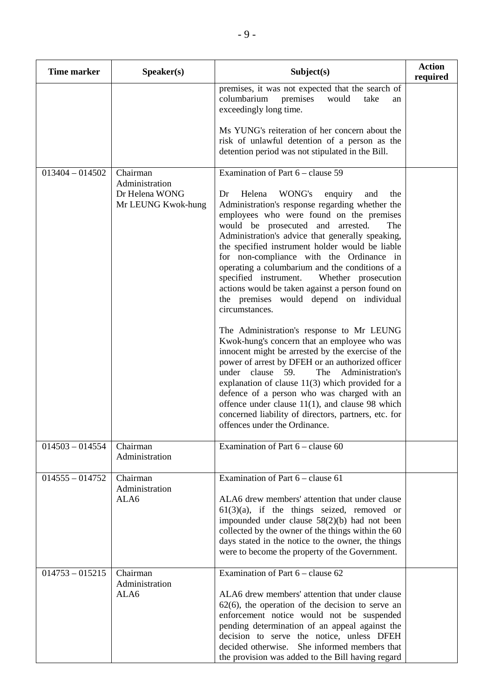| <b>Time marker</b> | Speaker(s)                                                         | Subject(s)                                                                                                                                                                                                                                                                                                                                                                                                                                                                                                                                                                                             | <b>Action</b><br>required |
|--------------------|--------------------------------------------------------------------|--------------------------------------------------------------------------------------------------------------------------------------------------------------------------------------------------------------------------------------------------------------------------------------------------------------------------------------------------------------------------------------------------------------------------------------------------------------------------------------------------------------------------------------------------------------------------------------------------------|---------------------------|
|                    |                                                                    | premises, it was not expected that the search of<br>columbarium<br>premises<br>would<br>take<br>an<br>exceedingly long time.                                                                                                                                                                                                                                                                                                                                                                                                                                                                           |                           |
|                    |                                                                    | Ms YUNG's reiteration of her concern about the<br>risk of unlawful detention of a person as the<br>detention period was not stipulated in the Bill.                                                                                                                                                                                                                                                                                                                                                                                                                                                    |                           |
| $013404 - 014502$  | Chairman<br>Administration<br>Dr Helena WONG<br>Mr LEUNG Kwok-hung | Examination of Part 6 – clause 59<br>Helena<br>WONG's<br>Dr<br>enquiry<br>and<br>the<br>Administration's response regarding whether the<br>employees who were found on the premises<br>would be prosecuted and arrested.<br>The<br>Administration's advice that generally speaking,<br>the specified instrument holder would be liable<br>for non-compliance with the Ordinance in<br>operating a columbarium and the conditions of a<br>specified instrument.<br>Whether prosecution<br>actions would be taken against a person found on<br>the premises would depend on individual<br>circumstances. |                           |
|                    |                                                                    | The Administration's response to Mr LEUNG<br>Kwok-hung's concern that an employee who was<br>innocent might be arrested by the exercise of the<br>power of arrest by DFEH or an authorized officer<br>clause 59.<br>The<br>under<br>Administration's<br>explanation of clause $11(3)$ which provided for a<br>defence of a person who was charged with an<br>offence under clause $11(1)$ , and clause 98 which<br>concerned liability of directors, partners, etc. for<br>offences under the Ordinance.                                                                                               |                           |
| $014503 - 014554$  | Chairman<br>Administration                                         | Examination of Part $6 -$ clause 60                                                                                                                                                                                                                                                                                                                                                                                                                                                                                                                                                                    |                           |
| $014555 - 014752$  | Chairman<br>Administration<br>ALA6                                 | Examination of Part 6 – clause 61<br>ALA6 drew members' attention that under clause<br>$61(3)(a)$ , if the things seized, removed or<br>impounded under clause $58(2)(b)$ had not been<br>collected by the owner of the things within the 60<br>days stated in the notice to the owner, the things<br>were to become the property of the Government.                                                                                                                                                                                                                                                   |                           |
| $014753 - 015215$  | Chairman<br>Administration<br>ALA6                                 | Examination of Part $6 -$ clause 62<br>ALA6 drew members' attention that under clause<br>$62(6)$ , the operation of the decision to serve an<br>enforcement notice would not be suspended<br>pending determination of an appeal against the<br>decision to serve the notice, unless DFEH<br>decided otherwise. She informed members that<br>the provision was added to the Bill having regard                                                                                                                                                                                                          |                           |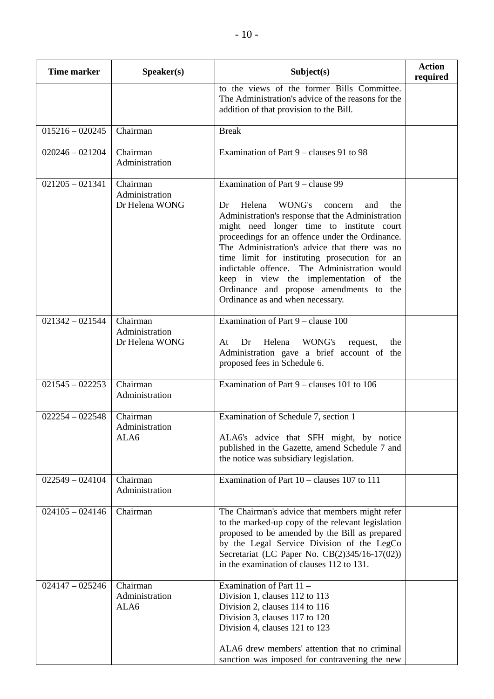| <b>Time marker</b> | Speaker(s)                                   | Subject(s)                                                                                                                                                                                                                                                                                                                                                                                                                                                                                                         | <b>Action</b><br>required |
|--------------------|----------------------------------------------|--------------------------------------------------------------------------------------------------------------------------------------------------------------------------------------------------------------------------------------------------------------------------------------------------------------------------------------------------------------------------------------------------------------------------------------------------------------------------------------------------------------------|---------------------------|
|                    |                                              | to the views of the former Bills Committee.<br>The Administration's advice of the reasons for the<br>addition of that provision to the Bill.                                                                                                                                                                                                                                                                                                                                                                       |                           |
| $015216 - 020245$  | Chairman                                     | <b>Break</b>                                                                                                                                                                                                                                                                                                                                                                                                                                                                                                       |                           |
| $020246 - 021204$  | Chairman<br>Administration                   | Examination of Part 9 – clauses 91 to 98                                                                                                                                                                                                                                                                                                                                                                                                                                                                           |                           |
| $021205 - 021341$  | Chairman<br>Administration<br>Dr Helena WONG | Examination of Part 9 – clause 99<br>Helena WONG's<br>Dr.<br>and<br>the<br>concern<br>Administration's response that the Administration<br>might need longer time to institute court<br>proceedings for an offence under the Ordinance.<br>The Administration's advice that there was no<br>time limit for instituting prosecution for an<br>indictable offence. The Administration would<br>keep in view the implementation of the<br>Ordinance and propose amendments to the<br>Ordinance as and when necessary. |                           |
| $021342 - 021544$  | Chairman<br>Administration<br>Dr Helena WONG | Examination of Part 9 – clause 100<br>Dr<br>Helena<br>WONG's<br>the<br>At<br>request,<br>Administration gave a brief account of the<br>proposed fees in Schedule 6.                                                                                                                                                                                                                                                                                                                                                |                           |
| $021545 - 022253$  | Chairman<br>Administration                   | Examination of Part 9 – clauses 101 to 106                                                                                                                                                                                                                                                                                                                                                                                                                                                                         |                           |
| $022254 - 022548$  | Chairman<br>Administration<br>ALA6           | Examination of Schedule 7, section 1<br>ALA6's advice that SFH might, by notice<br>published in the Gazette, amend Schedule 7 and<br>the notice was subsidiary legislation.                                                                                                                                                                                                                                                                                                                                        |                           |
| $022549 - 024104$  | Chairman<br>Administration                   | Examination of Part 10 - clauses 107 to 111                                                                                                                                                                                                                                                                                                                                                                                                                                                                        |                           |
| $024105 - 024146$  | Chairman                                     | The Chairman's advice that members might refer<br>to the marked-up copy of the relevant legislation<br>proposed to be amended by the Bill as prepared<br>by the Legal Service Division of the LegCo<br>Secretariat (LC Paper No. CB(2)345/16-17(02))<br>in the examination of clauses 112 to 131.                                                                                                                                                                                                                  |                           |
| $024147 - 025246$  | Chairman<br>Administration<br>ALA6           | Examination of Part 11 -<br>Division 1, clauses 112 to 113<br>Division 2, clauses 114 to 116<br>Division 3, clauses 117 to 120<br>Division 4, clauses 121 to 123<br>ALA6 drew members' attention that no criminal<br>sanction was imposed for contravening the new                                                                                                                                                                                                                                                 |                           |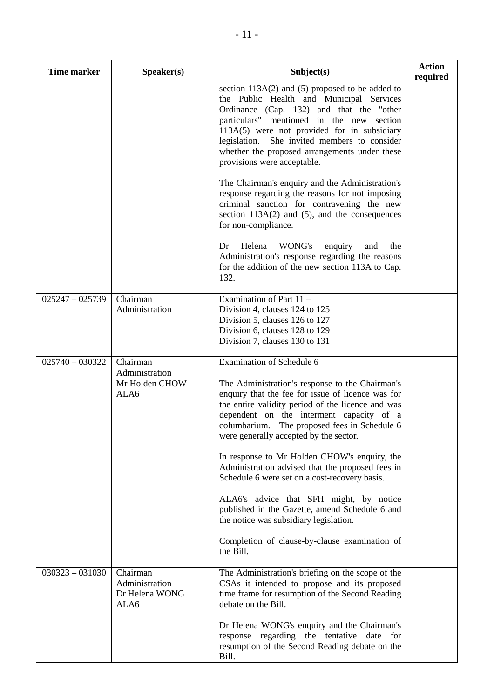| <b>Time marker</b> | Speaker(s)                                           | Subject(s)                                                                                                                                                                                                                                                                                                                                                                                                                                                                                                                                                                                                                                                                             | <b>Action</b><br>required |
|--------------------|------------------------------------------------------|----------------------------------------------------------------------------------------------------------------------------------------------------------------------------------------------------------------------------------------------------------------------------------------------------------------------------------------------------------------------------------------------------------------------------------------------------------------------------------------------------------------------------------------------------------------------------------------------------------------------------------------------------------------------------------------|---------------------------|
|                    |                                                      | section $113A(2)$ and (5) proposed to be added to<br>the Public Health and Municipal Services<br>Ordinance (Cap. 132) and that the "other<br>particulars" mentioned in the new section<br>113A(5) were not provided for in subsidiary<br>legislation.<br>She invited members to consider<br>whether the proposed arrangements under these<br>provisions were acceptable.                                                                                                                                                                                                                                                                                                               |                           |
|                    |                                                      | The Chairman's enquiry and the Administration's<br>response regarding the reasons for not imposing<br>criminal sanction for contravening the new<br>section $113A(2)$ and $(5)$ , and the consequences<br>for non-compliance.                                                                                                                                                                                                                                                                                                                                                                                                                                                          |                           |
|                    |                                                      | WONG's<br>Helena<br>enquiry<br>Dr<br>and<br>the<br>Administration's response regarding the reasons<br>for the addition of the new section 113A to Cap.<br>132.                                                                                                                                                                                                                                                                                                                                                                                                                                                                                                                         |                           |
| $025247 - 025739$  | Chairman<br>Administration                           | Examination of Part 11 -<br>Division 4, clauses 124 to 125<br>Division 5, clauses 126 to 127<br>Division 6, clauses 128 to 129<br>Division 7, clauses 130 to 131                                                                                                                                                                                                                                                                                                                                                                                                                                                                                                                       |                           |
| $025740 - 030322$  | Chairman<br>Administration<br>Mr Holden CHOW<br>ALA6 | Examination of Schedule 6<br>The Administration's response to the Chairman's<br>enquiry that the fee for issue of licence was for<br>the entire validity period of the licence and was<br>dependent on the interment capacity of a<br>columbarium. The proposed fees in Schedule 6<br>were generally accepted by the sector.<br>In response to Mr Holden CHOW's enquiry, the<br>Administration advised that the proposed fees in<br>Schedule 6 were set on a cost-recovery basis.<br>ALA6's advice that SFH might, by notice<br>published in the Gazette, amend Schedule 6 and<br>the notice was subsidiary legislation.<br>Completion of clause-by-clause examination of<br>the Bill. |                           |
| $030323 - 031030$  | Chairman<br>Administration<br>Dr Helena WONG<br>ALA6 | The Administration's briefing on the scope of the<br>CSAs it intended to propose and its proposed<br>time frame for resumption of the Second Reading<br>debate on the Bill.<br>Dr Helena WONG's enquiry and the Chairman's<br>response regarding the tentative date for<br>resumption of the Second Reading debate on the<br>Bill.                                                                                                                                                                                                                                                                                                                                                     |                           |